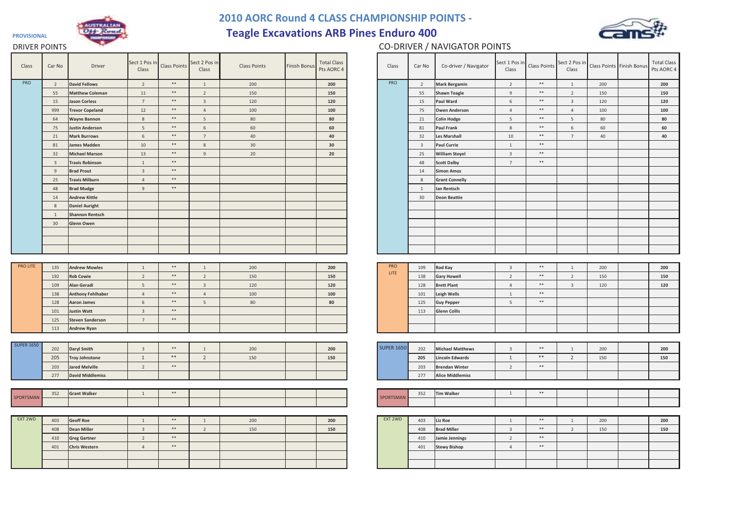

## **2010 AORC Round 4 CLASS CHAMPIONSHIP POINTS -**

**Teagle Excavations ARB Pines Enduro 400**



## DRIVER POINTS

**PROVISIONAL**

## CO-DRIVER / NAVIGATOR POINTS

| Class             | Car No                  | Driver                                      | Sect 1 Pos in<br>Class | Class Points | Sect 2 Pos in<br>Class  | <b>Class Points</b> | <b>Finish Bonus</b> | <b>Total Class</b><br>Pts AORC 4 | Class             | Car No                  | Co-driver / Navigator   | Sect 1 Pos in<br>Class  | <b>Class Points</b> | Sect 2 Pos in<br>Class  |     | Class Points Finish Bonus | Total C<br>Pts AOI |
|-------------------|-------------------------|---------------------------------------------|------------------------|--------------|-------------------------|---------------------|---------------------|----------------------------------|-------------------|-------------------------|-------------------------|-------------------------|---------------------|-------------------------|-----|---------------------------|--------------------|
| PRO               | $\overline{2}$          | <b>David Fellows</b>                        | $\overline{2}$         | $\ast\ast$   | $\mathbf{1}$            | 200                 |                     | 200                              | PRO               | $\overline{2}$          | <b>Mark Bergamin</b>    | $\overline{2}$          | $\ast\ast$          | 1                       | 200 |                           | 200                |
|                   | 55                      | <b>Matthew Coleman</b>                      | 11                     | $\ast\ast$   | $\overline{2}$          | 150                 |                     | 150                              |                   | 55                      | <b>Shawn Teagle</b>     | 9                       | $\ast\ast$          | $\overline{2}$          | 150 |                           | 150                |
|                   | 15                      | <b>Jason Corless</b>                        | $7\overline{ }$        | $\ast\ast$   | $\overline{\mathbf{3}}$ | 120                 |                     | 120                              |                   | 15                      | Paul Ward               | 6                       | $\ast\ast$          | $\overline{3}$          | 120 |                           | 120                |
|                   | 999                     | <b>Trevor Copeland</b>                      | 12                     | $\ast\ast$   | $\overline{4}$          | 100                 |                     | 100                              |                   | 75                      | <b>Owen Anderson</b>    | $\overline{4}$          | $\ast\ast$          | $\overline{4}$          | 100 |                           | 100                |
|                   | 64                      | <b>Wayne Bannon</b>                         | 8                      | $\ast\ast$   | 5                       | 80                  |                     | 80                               |                   | 21                      | <b>Colin Hodge</b>      | 5                       | $\ast\ast$          | 5                       | 80  |                           | 80                 |
|                   | 75                      | <b>Justin Anderson</b>                      | 5                      | $\ast\ast$   | 6                       | 60                  |                     | 60                               |                   | 81                      | <b>Paul Frank</b>       | 8                       | $\ast\ast$          | $\,$ 6 $\,$             | 60  |                           | 60                 |
|                   | 21                      | <b>Mark Burrows</b>                         | 6                      | $\ast\ast$   | 7                       | 40                  |                     | 40                               |                   | 32                      | <b>Les Marshall</b>     | 10                      | $\ast\ast$          | $7\overline{ }$         | 40  |                           | 40                 |
|                   | 81                      | <b>James Madden</b>                         | $10$                   | $\ast\ast$   | 8                       | 30                  |                     | 30                               |                   | $\overline{\mathbf{3}}$ | <b>Paul Currie</b>      | $\overline{1}$          | $\ast\ast$          |                         |     |                           |                    |
|                   | 32                      | <b>Michael Marson</b>                       | 13                     | $\ast\ast$   | 9                       | 20                  |                     | 20                               |                   | 25                      | <b>William Stoyel</b>   | $\overline{3}$          | $\ast\ast$          |                         |     |                           |                    |
|                   | $\overline{\mathbf{3}}$ | <b>Travis Robinson</b>                      | $\mathbf{1}$           | $\ast\ast$   |                         |                     |                     |                                  |                   | 48                      | <b>Scott Dalby</b>      | $7\overline{ }$         | $\ast\ast$          |                         |     |                           |                    |
|                   | 9                       | <b>Brad Prout</b>                           | $\overline{3}$         | $\ast\ast$   |                         |                     |                     |                                  |                   | 14                      | <b>Simon Amos</b>       |                         |                     |                         |     |                           |                    |
|                   | 25                      | <b>Travis Milburn</b>                       | $\overline{4}$         | $\ast\ast$   |                         |                     |                     |                                  |                   | 8                       | <b>Grant Connelly</b>   |                         |                     |                         |     |                           |                    |
|                   | 48                      | <b>Brad Mudge</b>                           | 9                      | $\ast\ast$   |                         |                     |                     |                                  |                   | 1                       | Ian Rentsch             |                         |                     |                         |     |                           |                    |
|                   | 14                      | <b>Andrew Kittle</b>                        |                        |              |                         |                     |                     |                                  |                   | 30                      | <b>Deon Beattie</b>     |                         |                     |                         |     |                           |                    |
|                   | 8                       | <b>Daniel Auright</b>                       |                        |              |                         |                     |                     |                                  |                   |                         |                         |                         |                     |                         |     |                           |                    |
|                   | $\overline{1}$          | <b>Shannon Rentsch</b>                      |                        |              |                         |                     |                     |                                  |                   |                         |                         |                         |                     |                         |     |                           |                    |
|                   | 30                      | Glenn Owen                                  |                        |              |                         |                     |                     |                                  |                   |                         |                         |                         |                     |                         |     |                           |                    |
|                   |                         |                                             |                        |              |                         |                     |                     |                                  |                   |                         |                         |                         |                     |                         |     |                           |                    |
|                   |                         |                                             |                        |              |                         |                     |                     |                                  |                   |                         |                         |                         |                     |                         |     |                           |                    |
|                   |                         |                                             |                        |              |                         |                     |                     |                                  |                   |                         |                         |                         |                     |                         |     |                           |                    |
|                   |                         |                                             |                        |              |                         |                     |                     |                                  |                   |                         |                         |                         |                     |                         |     |                           |                    |
| <b>PRO LITE</b>   | 135                     | <b>Andrew Mowles</b>                        | 1                      | $\ast\ast$   | 1                       | 200                 |                     | 200                              | <b>PRO</b>        | 109                     | <b>Rod Kay</b>          | $\overline{\mathbf{3}}$ | $\ast\ast$          | 1                       | 200 |                           | 200                |
|                   | 192                     | <b>Rob Cowie</b>                            | $\overline{2}$         | $\ast\ast$   | $\overline{2}$          | 150                 |                     | 150                              | LITE              | 138                     | <b>Gary Howell</b>      | $\overline{2}$          | $\ast\ast$          | $\overline{2}$          | 150 |                           | 150                |
|                   | 109                     | Alan Geradi                                 | $5\phantom{.0}$        | $\ast\ast$   | $\overline{3}$          | 120                 |                     | 120                              |                   | 128                     | <b>Brett Plant</b>      | $\overline{4}$          | $\ast\ast$          | $\overline{\mathbf{3}}$ | 120 |                           | 120                |
|                   | 138                     | <b>Anthony Fehlhaber</b>                    | $\overline{4}$         | $\ast\ast$   | $\overline{4}$          | 100                 |                     | 100                              |                   | 101                     | Leigh Wells             | 1                       | $\ast\ast$          |                         |     |                           |                    |
|                   | 128                     | <b>Aaron James</b>                          | 6                      | $***$        | 5 <sup>5</sup>          | 80                  |                     | 80                               |                   | 125                     | <b>Guy Pepper</b>       | 5 <sup>5</sup>          | $\ast\ast$          |                         |     |                           |                    |
|                   | 101                     | <b>Justin Watt</b>                          | $\overline{3}$         | $\ast\ast$   |                         |                     |                     |                                  |                   | 113                     | <b>Glenn Collis</b>     |                         |                     |                         |     |                           |                    |
|                   | 125                     | <b>Steven Sanderson</b>                     | 7                      | $\ast\ast$   |                         |                     |                     |                                  |                   |                         |                         |                         |                     |                         |     |                           |                    |
|                   | 113                     | <b>Andrew Ryan</b>                          |                        |              |                         |                     |                     |                                  |                   |                         |                         |                         |                     |                         |     |                           |                    |
|                   |                         |                                             |                        |              |                         |                     |                     |                                  |                   |                         |                         |                         |                     |                         |     |                           |                    |
| <b>SUPER 1650</b> | 202                     | <b>Daryl Smith</b>                          | $\overline{3}$         | $\ast\ast$   | $\overline{1}$          | 200                 |                     | 200                              | <b>SUPER 1650</b> | 202                     | <b>Michael Matthews</b> | $\overline{3}$          | $\ast\ast$          | $\overline{1}$          | 200 |                           | 200                |
|                   | 205                     | <b>Troy Johnstone</b>                       | 1                      | $\ast\ast$   | $\overline{2}$          | 150                 |                     | 150                              |                   | 205                     | <b>Lincoln Edwards</b>  | 1                       | $\ast\ast$          | 2                       | 150 |                           | 150                |
|                   | 203                     | <b>Jared Melville</b>                       | $\overline{2}$         | $\ast\ast$   |                         |                     |                     |                                  |                   | 203                     | <b>Brendan Winter</b>   | 2                       | $\ast\ast$          |                         |     |                           |                    |
|                   | 277                     | <b>David Middlemiss</b>                     |                        |              |                         |                     |                     |                                  |                   | 277                     | <b>Alice Middlemiss</b> |                         |                     |                         |     |                           |                    |
|                   |                         |                                             |                        |              |                         |                     |                     |                                  |                   |                         |                         |                         |                     |                         |     |                           |                    |
|                   | 352                     | <b>Grant Walker</b>                         | $\mathbf{1}$           | $\ast\ast$   |                         |                     |                     |                                  |                   | 352                     | <b>Tim Walker</b>       | 1                       | $\ast\ast$          |                         |     |                           |                    |
| SPORTSMAN         |                         |                                             |                        |              |                         |                     |                     |                                  | SPORTSMAN         |                         |                         |                         |                     |                         |     |                           |                    |
|                   |                         |                                             |                        |              |                         |                     |                     |                                  |                   |                         |                         |                         |                     |                         |     |                           |                    |
| EXT 2WD           | 403                     | <b>Geoff Roe</b>                            | $\overline{1}$         | $\ast\ast$   | $\overline{1}$          | 200                 |                     | 200                              | EXT 2WD           | 403                     | Liz Roe                 | $\overline{1}$          | $\ast\ast$          | $\overline{1}$          | 200 |                           | 200                |
|                   | 408                     | <b>Dean Miller</b>                          | $\overline{3}$         | $\ast\ast$   | $\overline{2}$          | 150                 |                     | 150                              |                   | 408                     | <b>Brad Miller</b>      | $\overline{3}$          | $\ast\ast$          | $\overline{2}$          | 150 |                           | 150                |
|                   | 410                     |                                             | $\overline{2}$         | $\ast\ast$   |                         |                     |                     |                                  |                   | 410                     | Jamie Jennings          | 2                       | $\ast\ast$          |                         |     |                           |                    |
|                   | 401                     | <b>Greg Gartner</b><br><b>Chris Western</b> | $\overline{4}$         | $\ast\ast$   |                         |                     |                     |                                  |                   | 401                     | <b>Stewy Bishop</b>     | $\overline{4}$          | $\ast\ast$          |                         |     |                           |                    |
|                   |                         |                                             |                        |              |                         |                     |                     |                                  |                   |                         |                         |                         |                     |                         |     |                           |                    |
|                   |                         |                                             |                        |              |                         |                     |                     |                                  |                   |                         |                         |                         |                     |                         |     |                           |                    |
|                   |                         |                                             |                        |              |                         |                     |                     |                                  |                   |                         |                         |                         |                     |                         |     |                           |                    |

| er   | Sect 1 Pos in<br>Class  | Class Points | Sect 2 Pos in<br>Class  | <b>Class Points</b> | <b>Finish Bonus</b> | <b>Total Class</b><br>Pts AORC 4 | Class             | Car No                  | Co-driver / Navigator   | Sect 1 Pos in<br>Class | Class Points | Sect 2 Pos in<br>Class | Class Points Finish Bonus | <b>Total Class</b><br>Pts AORC 4 |
|------|-------------------------|--------------|-------------------------|---------------------|---------------------|----------------------------------|-------------------|-------------------------|-------------------------|------------------------|--------------|------------------------|---------------------------|----------------------------------|
|      | $\overline{2}$          | $\ast\ast$   | $1\,$                   | 200                 |                     | 200                              | PRO               | $\overline{2}$          | <b>Mark Bergamin</b>    | $\overline{2}$         | $\ast\ast$   | $1\,$                  | 200                       | 200                              |
| nan  | $11\,$                  | $\ast\ast$   | $\overline{2}$          | 150                 |                     | 150                              |                   | 55                      | <b>Shawn Teagle</b>     | 9                      | $\ast\ast$   | $\overline{2}$         | 150                       | 150                              |
|      | $7\overline{ }$         | $\ast\ast$   | $\overline{\mathbf{3}}$ | 120                 |                     | 120                              |                   | 15                      | <b>Paul Ward</b>        | 6                      | $\ast\ast$   | $\overline{3}$         | 120                       | 120                              |
| ıd   | 12                      | $\ast\ast$   | $\overline{4}$          | 100                 |                     | 100                              |                   | 75                      | <b>Owen Anderson</b>    | $\overline{4}$         | $\ast\ast$   | $\overline{4}$         | 100                       | 100                              |
|      | $\,$ 8 $\,$             | $\ast\ast$   | $\overline{5}$          | 80                  |                     | 80                               |                   | 21                      | <b>Colin Hodge</b>      | $5\phantom{.0}$        | $\ast\ast$   | $5\phantom{.0}$        | $80\,$                    | 80                               |
| n    | $5\phantom{.0}$         | $\ast\ast$   | $\,$ 6 $\,$             | 60                  |                     | 60                               |                   | 81                      | <b>Paul Frank</b>       | $8\phantom{.}$         | $\ast\ast$   | $\,$ 6 $\,$            | 60                        | 60                               |
|      | $6\overline{6}$         | $\ast\ast$   | $\overline{7}$          | 40                  |                     | 40                               |                   | 32                      | <b>Les Marshall</b>     | 10                     | $\ast\ast$   | $7\overline{ }$        | 40                        | 40                               |
|      | 10                      | $\ast\ast$   | $\,$ 8 $\,$             | 30                  |                     | 30                               |                   | $\overline{\mathbf{3}}$ | <b>Paul Currie</b>      | $\mathbf{1}$           | $\ast\ast$   |                        |                           |                                  |
| n    | 13                      | $\ast\ast$   | 9                       | 20                  |                     | 20                               |                   | 25                      | <b>William Stoyel</b>   | $\overline{3}$         | $\ast\ast$   |                        |                           |                                  |
| n    | $\mathbf{1}$            | $\ast\ast$   |                         |                     |                     |                                  |                   | 48                      | <b>Scott Dalby</b>      | $7\overline{ }$        | $\ast\ast$   |                        |                           |                                  |
|      | $\overline{3}$          | $\ast\ast$   |                         |                     |                     |                                  |                   | 14                      | <b>Simon Amos</b>       |                        |              |                        |                           |                                  |
|      | $\overline{4}$          | $\ast\ast$   |                         |                     |                     |                                  |                   | $8\phantom{1}$          | <b>Grant Connelly</b>   |                        |              |                        |                           |                                  |
|      | 9                       | $\ast\ast$   |                         |                     |                     |                                  |                   | 1                       | Ian Rentsch             |                        |              |                        |                           |                                  |
|      |                         |              |                         |                     |                     |                                  |                   | 30                      | <b>Deon Beattie</b>     |                        |              |                        |                           |                                  |
|      |                         |              |                         |                     |                     |                                  |                   |                         |                         |                        |              |                        |                           |                                  |
| ch   |                         |              |                         |                     |                     |                                  |                   |                         |                         |                        |              |                        |                           |                                  |
|      |                         |              |                         |                     |                     |                                  |                   |                         |                         |                        |              |                        |                           |                                  |
|      |                         |              |                         |                     |                     |                                  |                   |                         |                         |                        |              |                        |                           |                                  |
|      |                         |              |                         |                     |                     |                                  |                   |                         |                         |                        |              |                        |                           |                                  |
|      |                         |              |                         |                     |                     |                                  |                   |                         |                         |                        |              |                        |                           |                                  |
|      |                         |              |                         |                     |                     |                                  |                   |                         |                         |                        |              |                        |                           |                                  |
| 9S   | $\mathbf{1}$            | $\ast\ast$   | $\mathbf{1}$            | 200                 |                     | 200                              | PRO               | 109                     | Rod Kay                 | $\overline{3}$         | $\ast\ast$   | $1\,$                  | 200                       | 200                              |
|      | $\overline{2}$          | $\ast\ast$   | $\overline{2}$          | 150                 |                     | 150                              | LITE              | 138                     | <b>Gary Howell</b>      | $\overline{2}$         | $\ast\ast$   | $\overline{2}$         | 150                       | 150                              |
|      | 5                       | $\ast\ast$   | $\overline{3}$          | 120                 |                     | 120                              |                   | 128                     | <b>Brett Plant</b>      | $\overline{4}$         | $\ast\ast$   | $\overline{3}$         | 120                       | 120                              |
| aber | $\overline{4}$          | $\ast\ast$   | $\overline{4}$          | 100                 |                     | 100                              |                   | 101                     | Leigh Wells             | 1                      | $\ast\ast$   |                        |                           |                                  |
|      | $6\,$                   | $\ast\ast$   | $\overline{5}$          | 80                  |                     | 80                               |                   | 125                     | <b>Guy Pepper</b>       | $5\phantom{.0}$        | $\ast\ast$   |                        |                           |                                  |
|      | $\mathbf{3}$            | $\ast\ast$   |                         |                     |                     |                                  |                   | 113                     | <b>Glenn Collis</b>     |                        |              |                        |                           |                                  |
| son  | $7\overline{ }$         | $\ast\ast$   |                         |                     |                     |                                  |                   |                         |                         |                        |              |                        |                           |                                  |
|      |                         |              |                         |                     |                     |                                  |                   |                         |                         |                        |              |                        |                           |                                  |
|      |                         |              |                         |                     |                     |                                  |                   |                         |                         |                        |              |                        |                           |                                  |
|      | $\overline{\mathbf{3}}$ | $\ast\ast$   | $\mathbf{1}$            | 200                 |                     | 200                              | <b>SUPER 1650</b> | 202                     | <b>Michael Matthews</b> | $\overline{3}$         | $\ast\ast$   | $\mathbf{1}$           | 200                       | 200                              |
|      | 1                       | $\ast\ast$   | $\overline{2}$          | 150                 |                     | 150                              |                   | 205                     | <b>Lincoln Edwards</b>  | $\mathbf{1}$           | $\ast\ast$   | $\overline{2}$         | 150                       | 150                              |
|      | $\overline{2}$          | $\ast\ast$   |                         |                     |                     |                                  |                   | 203                     | <b>Brendan Winter</b>   | $\overline{2}$         | $\ast\ast$   |                        |                           |                                  |
| iss  |                         |              |                         |                     |                     |                                  |                   | 277                     | <b>Alice Middlemiss</b> |                        |              |                        |                           |                                  |
|      |                         |              |                         |                     |                     |                                  |                   |                         |                         |                        |              |                        |                           |                                  |
|      | 1                       | $\ast\ast$   |                         |                     |                     |                                  |                   | 352                     | <b>Tim Walker</b>       | $\mathbf{1}$           | $\ast\ast$   |                        |                           |                                  |
|      |                         |              |                         |                     |                     |                                  | SPORTSMAN         |                         |                         |                        |              |                        |                           |                                  |
|      |                         |              |                         |                     |                     |                                  |                   |                         |                         |                        |              |                        |                           |                                  |
|      | $\mathbf{1}$            | $\ast\ast$   | $1\,$                   | 200                 |                     | 200                              | EXT 2WD           | 403                     | Liz Roe                 | $\mathbf{1}$           | $\ast\ast$   | $1\,$                  | 200                       | 200                              |
|      | $\overline{3}$          | $\ast\ast$   | $\overline{2}$          | 150                 |                     | 150                              |                   | 408                     | <b>Brad Miller</b>      | $\mathbf{3}$           | $\ast\ast$   | $\overline{2}$         | 150                       | 150                              |
|      | $\overline{2}$          | $\ast\ast$   |                         |                     |                     |                                  |                   | 410                     | Jamie Jennings          | $\overline{2}$         | $\ast\ast$   |                        |                           |                                  |
|      | $\overline{4}$          | $\ast\ast$   |                         |                     |                     |                                  |                   | 401                     | <b>Stewy Bishop</b>     | $\overline{4}$         | $\ast\ast$   |                        |                           |                                  |
|      |                         |              |                         |                     |                     |                                  |                   |                         |                         |                        |              |                        |                           |                                  |
|      |                         |              |                         |                     |                     |                                  |                   |                         |                         |                        |              |                        |                           |                                  |